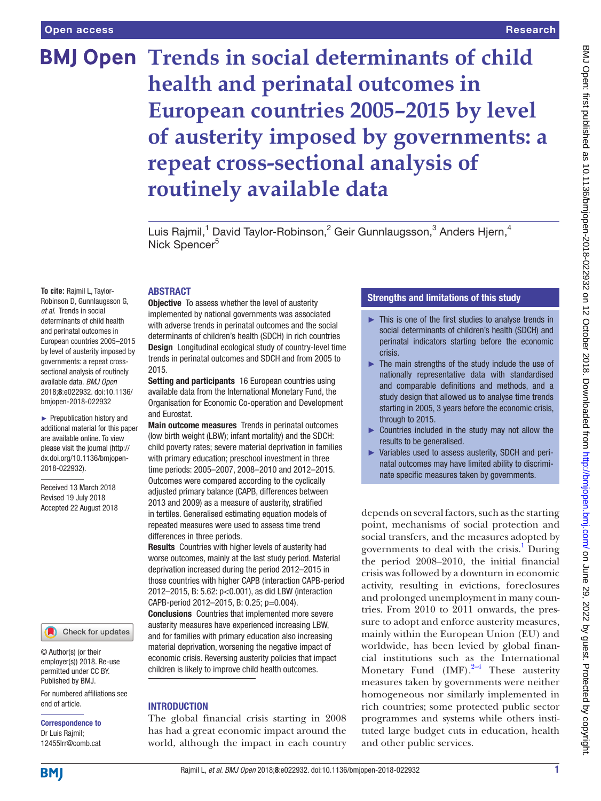# Research

# **BMJ Open Trends in social determinants of child health and perinatal outcomes in European countries 2005–2015 by level of austerity imposed by governments: a repeat cross-sectional analysis of routinely available data**

Luis Rajmil,<sup>1</sup> David Taylor-Robinson,<sup>2</sup> Geir Gunnlaugsson,<sup>3</sup> Anders Hjern,<sup>4</sup> Nick Spencer<sup>5</sup>

# **ABSTRACT**

**To cite:** Rajmil L, Taylor-Robinson D, Gunnlaugsson G, *et al*. Trends in social determinants of child health and perinatal outcomes in European countries 2005–2015 by level of austerity imposed by governments: a repeat crosssectional analysis of routinely available data. *BMJ Open* 2018;8:e022932. doi:10.1136/ bmjopen-2018-022932

► Prepublication history and additional material for this paper are available online. To view please visit the journal ([http://](http://dx.doi.org/10.1136/bmjopen-2018-022932) [dx.doi.org/10.1136/bmjopen-](http://dx.doi.org/10.1136/bmjopen-2018-022932)[2018-022932\)](http://dx.doi.org/10.1136/bmjopen-2018-022932).

Received 13 March 2018 Revised 19 July 2018 Accepted 22 August 2018

# Check for updates

© Author(s) (or their employer(s)) 2018. Re-use permitted under CC BY. Published by BMJ.

For numbered affiliations see end of article.

Correspondence to Dr Luis Rajmil; 12455lrr@comb.cat **Objective** To assess whether the level of austerity implemented by national governments was associated with adverse trends in perinatal outcomes and the social determinants of children's health (SDCH) in rich countries Design Longitudinal ecological study of country-level time trends in perinatal outcomes and SDCH and from 2005 to 2015.

Setting and participants 16 European countries using available data from the International Monetary Fund, the Organisation for Economic Co-operation and Development and Eurostat.

Main outcome measures Trends in perinatal outcomes (low birth weight (LBW); infant mortality) and the SDCH: child poverty rates; severe material deprivation in families with primary education; preschool investment in three time periods: 2005–2007, 2008–2010 and 2012–2015. Outcomes were compared according to the cyclically adjusted primary balance (CAPB, differences between 2013 and 2009) as a measure of austerity, stratified in tertiles. Generalised estimating equation models of repeated measures were used to assess time trend differences in three periods.

Results Countries with higher levels of austerity had worse outcomes, mainly at the last study period. Material deprivation increased during the period 2012–2015 in those countries with higher CAPB (interaction CAPB-period 2012–2015, B: 5.62: p<0.001), as did LBW (interaction CAPB-period 2012–2015, B: 0.25; p=0.004). Conclusions Countries that implemented more severe austerity measures have experienced increasing LBW, and for families with primary education also increasing material deprivation, worsening the negative impact of economic crisis. Reversing austerity policies that impact children is likely to improve child health outcomes.

# **INTRODUCTION**

The global financial crisis starting in 2008 has had a great economic impact around the world, although the impact in each country

# Strengths and limitations of this study

- ► This is one of the first studies to analyse trends in social determinants of children's health (SDCH) and perinatal indicators starting before the economic crisis.
- ► The main strengths of the study include the use of nationally representative data with standardised and comparable definitions and methods, and a study design that allowed us to analyse time trends starting in 2005, 3 years before the economic crisis, through to 2015.
- ► Countries included in the study may not allow the results to be generalised.
- ► Variables used to assess austerity, SDCH and perinatal outcomes may have limited ability to discriminate specific measures taken by governments.

depends on several factors, such as the starting point, mechanisms of social protection and social transfers, and the measures adopted by governments to deal with the crisis.<sup>[1](#page-7-0)</sup> During the period 2008–2010, the initial financial crisis was followed by a downturn in economic activity, resulting in evictions, foreclosures and prolonged unemployment in many countries. From 2010 to 2011 onwards, the pressure to adopt and enforce austerity measures, mainly within the European Union (EU) and worldwide, has been levied by global financial institutions such as the International Monetary Fund  $(MF)$ .<sup>2-4</sup> These austerity measures taken by governments were neither homogeneous nor similarly implemented in rich countries; some protected public sector programmes and systems while others instituted large budget cuts in education, health and other public services.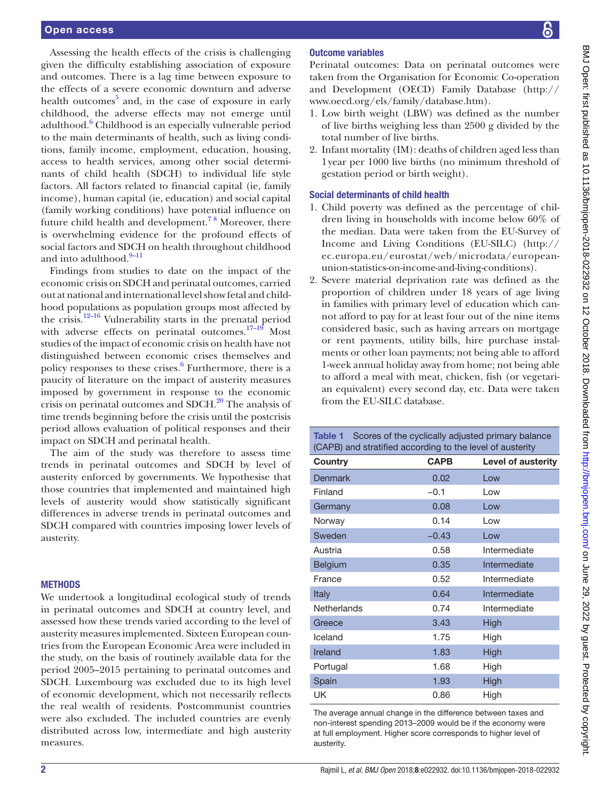Assessing the health effects of the crisis is challenging given the difficulty establishing association of exposure and outcomes. There is a lag time between exposure to the effects of a severe economic downturn and adverse health outcomes<sup>5</sup> and, in the case of exposure in early childhood, the adverse effects may not emerge until adulthood.<sup>6</sup> Childhood is an especially vulnerable period to the main determinants of health, such as living conditions, family income, employment, education, housing, access to health services, among other social determinants of child health (SDCH) to individual life style factors. All factors related to financial capital (ie, family income), human capital (ie, education) and social capital (family working conditions) have potential influence on future child health and development.<sup>78</sup> Moreover, there is overwhelming evidence for the profound effects of social factors and SDCH on health throughout childhood and into adulthood.<sup>9-11</sup>

Findings from studies to date on the impact of the economic crisis on SDCH and perinatal outcomes, carried out at national and international level show fetal and childhood populations as population groups most affected by the crisis[.12–16](#page-7-6) Vulnerability starts in the prenatal period with adverse effects on perinatal outcomes.<sup>17-19</sup> Most studies of the impact of economic crisis on health have not distinguished between economic crises themselves and policy responses to these crises.<sup>[6](#page-7-3)</sup> Furthermore, there is a paucity of literature on the impact of austerity measures imposed by government in response to the economic crisis on perinatal outcomes and SDCH.<sup>20</sup> The analysis of time trends beginning before the crisis until the postcrisis period allows evaluation of political responses and their impact on SDCH and perinatal health.

The aim of the study was therefore to assess time trends in perinatal outcomes and SDCH by level of austerity enforced by governments. We hypothesise that those countries that implemented and maintained high levels of austerity would show statistically significant differences in adverse trends in perinatal outcomes and SDCH compared with countries imposing lower levels of austerity.

# **METHODS**

We undertook a longitudinal ecological study of trends in perinatal outcomes and SDCH at country level, and assessed how these trends varied according to the level of austerity measures implemented. Sixteen European countries from the European Economic Area were included in the study, on the basis of routinely available data for the period 2005–2015 pertaining to perinatal outcomes and SDCH. Luxembourg was excluded due to its high level of economic development, which not necessarily reflects the real wealth of residents. Postcommunist countries were also excluded. The included countries are evenly distributed across low, intermediate and high austerity measures.

# Outcome variables

Perinatal outcomes: Data on perinatal outcomes were taken from the Organisation for Economic Co-operation and Development (OECD) Family Database [\(http://](http://www.oecd.org/els/family/database.htm) [www.oecd.org/els/family/database.htm\)](http://www.oecd.org/els/family/database.htm).

- 1. Low birth weight (LBW) was defined as the number of live births weighing less than 2500 g divided by the total number of live births.
- 2. Infant mortality (IM): deaths of children aged less than 1year per 1000 live births (no minimum threshold of gestation period or birth weight).

#### Social determinants of child health

- 1. Child poverty was defined as the percentage of children living in households with income below 60% of the median. Data were taken from the EU-Survey of Income and Living Conditions (EU-SILC) [\(http://](http://ec.europa.eu/eurostat/web/microdata/european-union-statistics-on-income-and-living-conditions) [ec.europa.eu/eurostat/web/microdata/european](http://ec.europa.eu/eurostat/web/microdata/european-union-statistics-on-income-and-living-conditions)[union-statistics-on-income-and-living-conditions](http://ec.europa.eu/eurostat/web/microdata/european-union-statistics-on-income-and-living-conditions)).
- 2. Severe material deprivation rate was defined as the proportion of children under 18 years of age living in families with primary level of education which cannot afford to pay for at least four out of the nine items considered basic, such as having arrears on mortgage or rent payments, utility bills, hire purchase instalments or other loan payments; not being able to afford 1-week annual holiday away from home; not being able to afford a meal with meat, chicken, fish (or vegetarian equivalent) every second day, etc. Data were taken from the EU-SILC database.

<span id="page-1-0"></span>

| Scores of the cyclically adjusted primary balance<br>Table 1<br>(CAPB) and stratified according to the level of austerity |             |                           |  |  |  |  |  |
|---------------------------------------------------------------------------------------------------------------------------|-------------|---------------------------|--|--|--|--|--|
| Country                                                                                                                   | <b>CAPB</b> | <b>Level of austerity</b> |  |  |  |  |  |
| Denmark                                                                                                                   | 0.02        | Low                       |  |  |  |  |  |
| Finland                                                                                                                   | $-0.1$      | Low                       |  |  |  |  |  |
| Germany                                                                                                                   | 0.08        | Low                       |  |  |  |  |  |
| Norway                                                                                                                    | 0.14        | Low                       |  |  |  |  |  |
| Sweden                                                                                                                    | $-0.43$     | Low                       |  |  |  |  |  |
| Austria                                                                                                                   | 0.58        | Intermediate              |  |  |  |  |  |
| <b>Belgium</b>                                                                                                            | 0.35        | Intermediate              |  |  |  |  |  |
| France                                                                                                                    | 0.52        | Intermediate              |  |  |  |  |  |
| <b>Italy</b>                                                                                                              | 0.64        | Intermediate              |  |  |  |  |  |
| <b>Netherlands</b>                                                                                                        | 0.74        | Intermediate              |  |  |  |  |  |
| Greece                                                                                                                    | 3.43        | High                      |  |  |  |  |  |
| Iceland                                                                                                                   | 1.75        | High                      |  |  |  |  |  |
| Ireland                                                                                                                   | 1.83        | High                      |  |  |  |  |  |
| Portugal                                                                                                                  | 1.68        | High                      |  |  |  |  |  |
| Spain                                                                                                                     | 1.93        | High                      |  |  |  |  |  |
| UK                                                                                                                        | 0.86        | High                      |  |  |  |  |  |

The average annual change in the difference between taxes and non-interest spending 2013–2009 would be if the economy were at full employment. Higher score corresponds to higher level of austerity.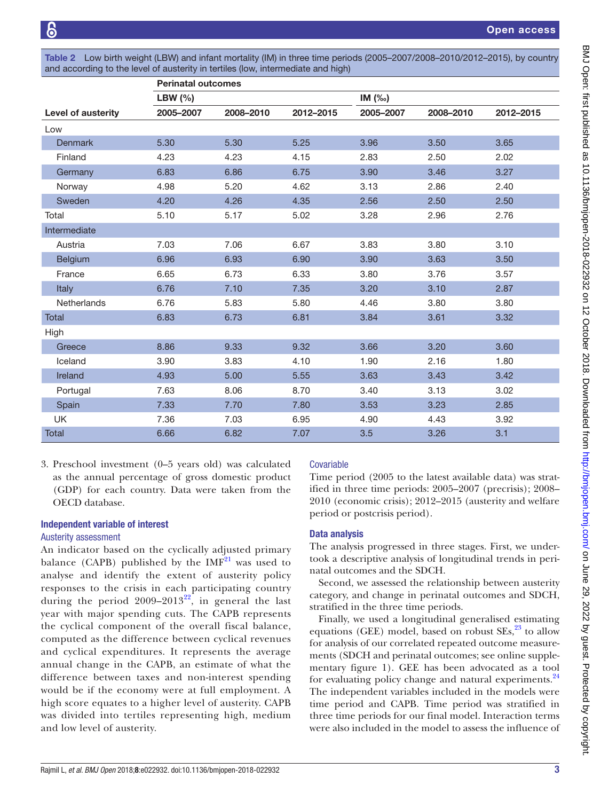<span id="page-2-0"></span>Low birth weight (LBW) and infant mortality (IM) in three time periods (2005–2007/2008–2010/2012–2015), by country and according to the level of austerity in tertiles (low, intermediate and high)

|                           | <b>Perinatal outcomes</b> |           |           |           |             |           |  |  |
|---------------------------|---------------------------|-----------|-----------|-----------|-------------|-----------|--|--|
|                           | LBW $(%)$                 |           |           |           | IM $(\%$ o) |           |  |  |
| <b>Level of austerity</b> | 2005-2007                 | 2008-2010 | 2012-2015 | 2005-2007 | 2008-2010   | 2012-2015 |  |  |
| Low                       |                           |           |           |           |             |           |  |  |
| <b>Denmark</b>            | 5.30                      | 5.30      | 5.25      | 3.96      | 3.50        | 3.65      |  |  |
| Finland                   | 4.23                      | 4.23      | 4.15      | 2.83      | 2.50        | 2.02      |  |  |
| Germany                   | 6.83                      | 6.86      | 6.75      | 3.90      | 3.46        | 3.27      |  |  |
| Norway                    | 4.98                      | 5.20      | 4.62      | 3.13      | 2.86        | 2.40      |  |  |
| Sweden                    | 4.20                      | 4.26      | 4.35      | 2.56      | 2.50        | 2.50      |  |  |
| Total                     | 5.10                      | 5.17      | 5.02      | 3.28      | 2.96        | 2.76      |  |  |
| Intermediate              |                           |           |           |           |             |           |  |  |
| Austria                   | 7.03                      | 7.06      | 6.67      | 3.83      | 3.80        | 3.10      |  |  |
| Belgium                   | 6.96                      | 6.93      | 6.90      | 3.90      | 3.63        | 3.50      |  |  |
| France                    | 6.65                      | 6.73      | 6.33      | 3.80      | 3.76        | 3.57      |  |  |
| Italy                     | 6.76                      | 7.10      | 7.35      | 3.20      | 3.10        | 2.87      |  |  |
| <b>Netherlands</b>        | 6.76                      | 5.83      | 5.80      | 4.46      | 3.80        | 3.80      |  |  |
| <b>Total</b>              | 6.83                      | 6.73      | 6.81      | 3.84      | 3.61        | 3.32      |  |  |
| High                      |                           |           |           |           |             |           |  |  |
| Greece                    | 8.86                      | 9.33      | 9.32      | 3.66      | 3.20        | 3.60      |  |  |
| Iceland                   | 3.90                      | 3.83      | 4.10      | 1.90      | 2.16        | 1.80      |  |  |
| Ireland                   | 4.93                      | 5.00      | 5.55      | 3.63      | 3.43        | 3.42      |  |  |
| Portugal                  | 7.63                      | 8.06      | 8.70      | 3.40      | 3.13        | 3.02      |  |  |
| Spain                     | 7.33                      | 7.70      | 7.80      | 3.53      | 3.23        | 2.85      |  |  |
| <b>UK</b>                 | 7.36                      | 7.03      | 6.95      | 4.90      | 4.43        | 3.92      |  |  |
| Total                     | 6.66                      | 6.82      | 7.07      | 3.5       | 3.26        | 3.1       |  |  |

3. Preschool investment (0–5 years old) was calculated as the annual percentage of gross domestic product (GDP) for each country. Data were taken from the OECD database.

# Independent variable of interest

Austerity assessment An indicator based on the cyclically adjusted primary balance (CAPB) published by the  $IMF<sup>21</sup>$  was used to analyse and identify the extent of austerity policy responses to the crisis in each participating country during the period  $2009-2013^{22}$  $2009-2013^{22}$  $2009-2013^{22}$ , in general the last year with major spending cuts. The CAPB represents the cyclical component of the overall fiscal balance, computed as the difference between cyclical revenues and cyclical expenditures. It represents the average annual change in the CAPB, an estimate of what the difference between taxes and non-interest spending would be if the economy were at full employment. A high score equates to a higher level of austerity. CAPB was divided into tertiles representing high, medium and low level of austerity.

# **Covariable**

Time period (2005 to the latest available data) was stratified in three time periods: 2005–2007 (precrisis); 2008– 2010 (economic crisis); 2012–2015 (austerity and welfare period or postcrisis period).

# Data analysis

The analysis progressed in three stages. First, we undertook a descriptive analysis of longitudinal trends in perinatal outcomes and the SDCH.

Second, we assessed the relationship between austerity category, and change in perinatal outcomes and SDCH, stratified in the three time periods.

Finally, we used a longitudinal generalised estimating equations (GEE) model, based on robust  $SEs$ <sup>23</sup> to allow for analysis of our correlated repeated outcome measurements (SDCH and perinatal outcomes; see online [supple](https://dx.doi.org/10.1136/bmjopen-2018-022932)[mentary figure 1\)](https://dx.doi.org/10.1136/bmjopen-2018-022932). GEE has been advocated as a tool for evaluating policy change and natural experiments.<sup>[24](#page-7-12)</sup> The independent variables included in the models were time period and CAPB. Time period was stratified in three time periods for our final model. Interaction terms were also included in the model to assess the influence of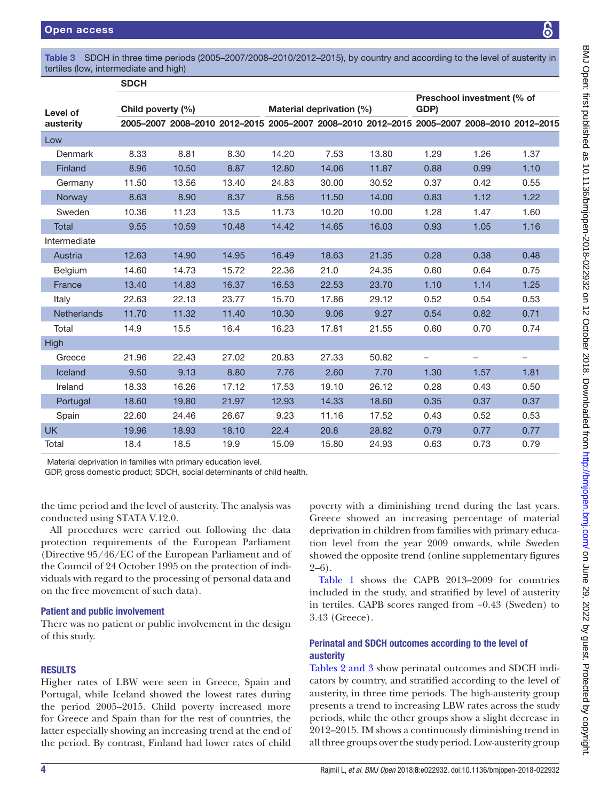**SDCH** 

Table 3 SDCH in three time periods (2005–2007/2008–2010/2012–2015), by country and according to the level of austerity in tertiles (low, intermediate and high)

| Level of     | Child poverty (%) |                                                                                           |       |       | Material deprivation (%) |       | GDP)                     | Preschool investment (% of |      |
|--------------|-------------------|-------------------------------------------------------------------------------------------|-------|-------|--------------------------|-------|--------------------------|----------------------------|------|
| austerity    |                   | 2005-2007 2008-2010 2012-2015 2005-2007 2008-2010 2012-2015 2005-2007 2008-2010 2012-2015 |       |       |                          |       |                          |                            |      |
| Low          |                   |                                                                                           |       |       |                          |       |                          |                            |      |
| Denmark      | 8.33              | 8.81                                                                                      | 8.30  | 14.20 | 7.53                     | 13.80 | 1.29                     | 1.26                       | 1.37 |
| Finland      | 8.96              | 10.50                                                                                     | 8.87  | 12.80 | 14.06                    | 11.87 | 0.88                     | 0.99                       | 1.10 |
| Germany      | 11.50             | 13.56                                                                                     | 13.40 | 24.83 | 30.00                    | 30.52 | 0.37                     | 0.42                       | 0.55 |
| Norway       | 8.63              | 8.90                                                                                      | 8.37  | 8.56  | 11.50                    | 14.00 | 0.83                     | 1.12                       | 1.22 |
| Sweden       | 10.36             | 11.23                                                                                     | 13.5  | 11.73 | 10.20                    | 10.00 | 1.28                     | 1.47                       | 1.60 |
| Total        | 9.55              | 10.59                                                                                     | 10.48 | 14.42 | 14.65                    | 16.03 | 0.93                     | 1.05                       | 1.16 |
| Intermediate |                   |                                                                                           |       |       |                          |       |                          |                            |      |
| Austria      | 12.63             | 14.90                                                                                     | 14.95 | 16.49 | 18.63                    | 21.35 | 0.28                     | 0.38                       | 0.48 |
| Belgium      | 14.60             | 14.73                                                                                     | 15.72 | 22.36 | 21.0                     | 24.35 | 0.60                     | 0.64                       | 0.75 |
| France       | 13.40             | 14.83                                                                                     | 16.37 | 16.53 | 22.53                    | 23.70 | 1.10                     | 1.14                       | 1.25 |
| Italy        | 22.63             | 22.13                                                                                     | 23.77 | 15.70 | 17.86                    | 29.12 | 0.52                     | 0.54                       | 0.53 |
| Netherlands  | 11.70             | 11.32                                                                                     | 11.40 | 10.30 | 9.06                     | 9.27  | 0.54                     | 0.82                       | 0.71 |
| Total        | 14.9              | 15.5                                                                                      | 16.4  | 16.23 | 17.81                    | 21.55 | 0.60                     | 0.70                       | 0.74 |
| <b>High</b>  |                   |                                                                                           |       |       |                          |       |                          |                            |      |
| Greece       | 21.96             | 22.43                                                                                     | 27.02 | 20.83 | 27.33                    | 50.82 | $\overline{\phantom{0}}$ | $\overline{\phantom{0}}$   |      |
| Iceland      | 9.50              | 9.13                                                                                      | 8.80  | 7.76  | 2.60                     | 7.70  | 1.30                     | 1.57                       | 1.81 |
| Ireland      | 18.33             | 16.26                                                                                     | 17.12 | 17.53 | 19.10                    | 26.12 | 0.28                     | 0.43                       | 0.50 |
| Portugal     | 18.60             | 19.80                                                                                     | 21.97 | 12.93 | 14.33                    | 18.60 | 0.35                     | 0.37                       | 0.37 |
| Spain        | 22.60             | 24.46                                                                                     | 26.67 | 9.23  | 11.16                    | 17.52 | 0.43                     | 0.52                       | 0.53 |
| <b>UK</b>    | 19.96             | 18.93                                                                                     | 18.10 | 22.4  | 20.8                     | 28.82 | 0.79                     | 0.77                       | 0.77 |
| Total        | 18.4              | 18.5                                                                                      | 19.9  | 15.09 | 15.80                    | 24.93 | 0.63                     | 0.73                       | 0.79 |

Material deprivation in families with primary education level.

GDP, gross domestic product; SDCH, social determinants of child health.

the time period and the level of austerity. The analysis was conducted using STATA V.12.0.

All procedures were carried out following the data protection requirements of the European Parliament (Directive 95/46/EC of the European Parliament and of the Council of 24 October 1995 on the protection of individuals with regard to the processing of personal data and on the free movement of such data).

# Patient and public involvement

There was no patient or public involvement in the design of this study.

# **RESULTS**

Higher rates of LBW were seen in Greece, Spain and Portugal, while Iceland showed the lowest rates during the period 2005–2015. Child poverty increased more for Greece and Spain than for the rest of countries, the latter especially showing an increasing trend at the end of the period. By contrast, Finland had lower rates of child

poverty with a diminishing trend during the last years. Greece showed an increasing percentage of material deprivation in children from families with primary education level from the year 2009 onwards, while Sweden showed the opposite trend (online [supplementary figures](https://dx.doi.org/10.1136/bmjopen-2018-022932)   $2-6$ ).

[Table](#page-1-0) 1 shows the CAPB 2013–2009 for countries included in the study, and stratified by level of austerity in tertiles. CAPB scores ranged from −0.43 (Sweden) to 3.43 (Greece).

# Perinatal and SDCH outcomes according to the level of austerity

Tables [2 and 3](#page-2-0) show perinatal outcomes and SDCH indicators by country, and stratified according to the level of austerity, in three time periods. The high-austerity group presents a trend to increasing LBW rates across the study periods, while the other groups show a slight decrease in 2012–2015. IM shows a continuously diminishing trend in all three groups over the study period. Low-austerity group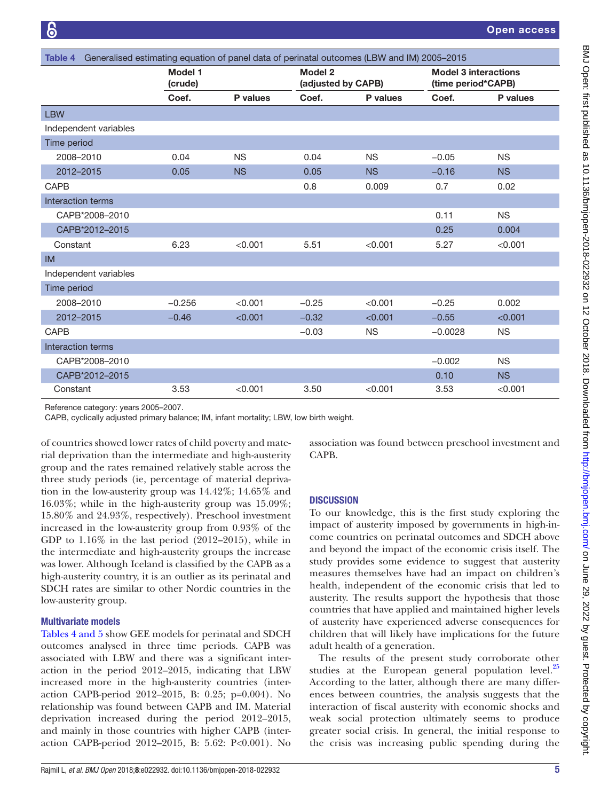<span id="page-4-0"></span>

| Generalised estimating equation of panel data of perinatal outcomes (LBW and IM) 2005-2015<br><b>Table 4</b> |                    |           |                               |           |                                                   |           |  |
|--------------------------------------------------------------------------------------------------------------|--------------------|-----------|-------------------------------|-----------|---------------------------------------------------|-----------|--|
|                                                                                                              | Model 1<br>(crude) |           | Model 2<br>(adjusted by CAPB) |           | <b>Model 3 interactions</b><br>(time period*CAPB) |           |  |
|                                                                                                              | Coef.              | P values  | Coef.                         | P values  | Coef.                                             | P values  |  |
| <b>LBW</b>                                                                                                   |                    |           |                               |           |                                                   |           |  |
| Independent variables                                                                                        |                    |           |                               |           |                                                   |           |  |
| Time period                                                                                                  |                    |           |                               |           |                                                   |           |  |
| 2008-2010                                                                                                    | 0.04               | <b>NS</b> | 0.04                          | <b>NS</b> | $-0.05$                                           | <b>NS</b> |  |
| 2012-2015                                                                                                    | 0.05               | <b>NS</b> | 0.05                          | <b>NS</b> | $-0.16$                                           | <b>NS</b> |  |
| <b>CAPB</b>                                                                                                  |                    |           | 0.8                           | 0.009     | 0.7                                               | 0.02      |  |
| Interaction terms                                                                                            |                    |           |                               |           |                                                   |           |  |
| CAPB*2008-2010                                                                                               |                    |           |                               |           | 0.11                                              | <b>NS</b> |  |
| CAPB*2012-2015                                                                                               |                    |           |                               |           | 0.25                                              | 0.004     |  |
| Constant                                                                                                     | 6.23               | < 0.001   | 5.51                          | < 0.001   | 5.27                                              | < 0.001   |  |
| <b>IM</b>                                                                                                    |                    |           |                               |           |                                                   |           |  |
| Independent variables                                                                                        |                    |           |                               |           |                                                   |           |  |
| Time period                                                                                                  |                    |           |                               |           |                                                   |           |  |
| 2008-2010                                                                                                    | $-0.256$           | < 0.001   | $-0.25$                       | < 0.001   | $-0.25$                                           | 0.002     |  |
| 2012-2015                                                                                                    | $-0.46$            | < 0.001   | $-0.32$                       | < 0.001   | $-0.55$                                           | < 0.001   |  |
| <b>CAPB</b>                                                                                                  |                    |           | $-0.03$                       | <b>NS</b> | $-0.0028$                                         | <b>NS</b> |  |
| Interaction terms                                                                                            |                    |           |                               |           |                                                   |           |  |
| CAPB*2008-2010                                                                                               |                    |           |                               |           | $-0.002$                                          | <b>NS</b> |  |
| CAPB*2012-2015                                                                                               |                    |           |                               |           | 0.10                                              | <b>NS</b> |  |
| Constant                                                                                                     | 3.53               | < 0.001   | 3.50                          | < 0.001   | 3.53                                              | < 0.001   |  |

Reference category: years 2005–2007.

CAPB, cyclically adjusted primary balance; IM, infant mortality; LBW, low birth weight.

of countries showed lower rates of child poverty and material deprivation than the intermediate and high-austerity group and the rates remained relatively stable across the three study periods (ie, percentage of material deprivation in the low-austerity group was 14.42%; 14.65% and 16.03%; while in the high-austerity group was 15.09%; 15.80% and 24.93%, respectively). Preschool investment increased in the low-austerity group from 0.93% of the GDP to 1.16% in the last period (2012–2015), while in the intermediate and high-austerity groups the increase was lower. Although Iceland is classified by the CAPB as a high-austerity country, it is an outlier as its perinatal and SDCH rates are similar to other Nordic countries in the low-austerity group.

# Multivariate models

Tables [4 and 5](#page-4-0) show GEE models for perinatal and SDCH outcomes analysed in three time periods. CAPB was associated with LBW and there was a significant interaction in the period 2012–2015, indicating that LBW increased more in the high-austerity countries (interaction CAPB-period 2012–2015, B: 0.25; p=0.004). No relationship was found between CAPB and IM. Material deprivation increased during the period 2012–2015, and mainly in those countries with higher CAPB (interaction CAPB-period 2012–2015, B: 5.62: P<0.001). No

association was found between preschool investment and CAPB.

# **DISCUSSION**

To our knowledge, this is the first study exploring the impact of austerity imposed by governments in high-income countries on perinatal outcomes and SDCH above and beyond the impact of the economic crisis itself. The study provides some evidence to suggest that austerity measures themselves have had an impact on children's health, independent of the economic crisis that led to austerity. The results support the hypothesis that those countries that have applied and maintained higher levels of austerity have experienced adverse consequences for children that will likely have implications for the future adult health of a generation.

The results of the present study corroborate other studies at the European general population level. $^{25}$  $^{25}$  $^{25}$ According to the latter, although there are many differences between countries, the analysis suggests that the interaction of fiscal austerity with economic shocks and weak social protection ultimately seems to produce greater social crisis. In general, the initial response to the crisis was increasing public spending during the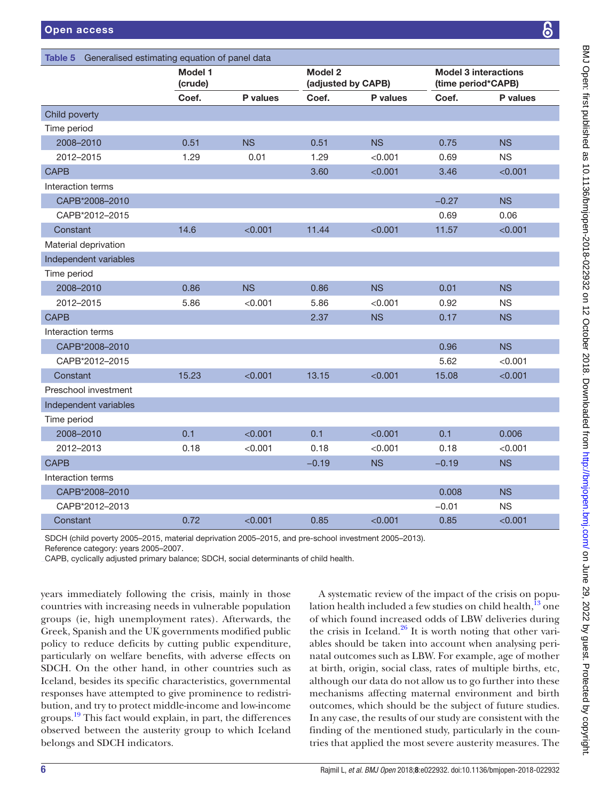| Divided the trip of the second theory of the contract of the contract of the contract of the contract of the contract of the contract of the contract of the contract of the contract of the contract of the contract of the c |  |
|--------------------------------------------------------------------------------------------------------------------------------------------------------------------------------------------------------------------------------|--|
|                                                                                                                                                                                                                                |  |
|                                                                                                                                                                                                                                |  |
| )<br>)<br>>                                                                                                                                                                                                                    |  |
|                                                                                                                                                                                                                                |  |
|                                                                                                                                                                                                                                |  |
|                                                                                                                                                                                                                                |  |
|                                                                                                                                                                                                                                |  |
| <b>シュン コンココン こうしょう コ</b>                                                                                                                                                                                                       |  |
|                                                                                                                                                                                                                                |  |
|                                                                                                                                                                                                                                |  |
|                                                                                                                                                                                                                                |  |
|                                                                                                                                                                                                                                |  |
|                                                                                                                                                                                                                                |  |
|                                                                                                                                                                                                                                |  |
|                                                                                                                                                                                                                                |  |
|                                                                                                                                                                                                                                |  |
|                                                                                                                                                                                                                                |  |
|                                                                                                                                                                                                                                |  |
|                                                                                                                                                                                                                                |  |
|                                                                                                                                                                                                                                |  |
|                                                                                                                                                                                                                                |  |
| .<br>.<br>.<br>.<br>.                                                                                                                                                                                                          |  |
|                                                                                                                                                                                                                                |  |
|                                                                                                                                                                                                                                |  |
| //pmjop                                                                                                                                                                                                                        |  |
|                                                                                                                                                                                                                                |  |
|                                                                                                                                                                                                                                |  |
|                                                                                                                                                                                                                                |  |
|                                                                                                                                                                                                                                |  |
|                                                                                                                                                                                                                                |  |
|                                                                                                                                                                                                                                |  |
|                                                                                                                                                                                                                                |  |
| ;<br>;                                                                                                                                                                                                                         |  |
|                                                                                                                                                                                                                                |  |
| í                                                                                                                                                                                                                              |  |
|                                                                                                                                                                                                                                |  |
|                                                                                                                                                                                                                                |  |
|                                                                                                                                                                                                                                |  |
|                                                                                                                                                                                                                                |  |
|                                                                                                                                                                                                                                |  |
|                                                                                                                                                                                                                                |  |
|                                                                                                                                                                                                                                |  |

| Generalised estimating equation of panel data<br>Table 5 |                    |           |         |                               |         |                                                   |  |
|----------------------------------------------------------|--------------------|-----------|---------|-------------------------------|---------|---------------------------------------------------|--|
|                                                          | Model 1<br>(crude) |           |         | Model 2<br>(adjusted by CAPB) |         | <b>Model 3 interactions</b><br>(time period*CAPB) |  |
|                                                          | Coef.              | P values  | Coef.   | P values                      | Coef.   | P values                                          |  |
| Child poverty                                            |                    |           |         |                               |         |                                                   |  |
| Time period                                              |                    |           |         |                               |         |                                                   |  |
| 2008-2010                                                | 0.51               | <b>NS</b> | 0.51    | <b>NS</b>                     | 0.75    | <b>NS</b>                                         |  |
| 2012-2015                                                | 1.29               | 0.01      | 1.29    | < 0.001                       | 0.69    | <b>NS</b>                                         |  |
| <b>CAPB</b>                                              |                    |           | 3.60    | < 0.001                       | 3.46    | < 0.001                                           |  |
| Interaction terms                                        |                    |           |         |                               |         |                                                   |  |
| CAPB*2008-2010                                           |                    |           |         |                               | $-0.27$ | <b>NS</b>                                         |  |
| CAPB*2012-2015                                           |                    |           |         |                               | 0.69    | 0.06                                              |  |
| Constant                                                 | 14.6               | < 0.001   | 11.44   | < 0.001                       | 11.57   | < 0.001                                           |  |
| Material deprivation                                     |                    |           |         |                               |         |                                                   |  |
| Independent variables                                    |                    |           |         |                               |         |                                                   |  |
| Time period                                              |                    |           |         |                               |         |                                                   |  |
| 2008-2010                                                | 0.86               | <b>NS</b> | 0.86    | <b>NS</b>                     | 0.01    | <b>NS</b>                                         |  |
| 2012-2015                                                | 5.86               | < 0.001   | 5.86    | < 0.001                       | 0.92    | <b>NS</b>                                         |  |
| <b>CAPB</b>                                              |                    |           | 2.37    | <b>NS</b>                     | 0.17    | <b>NS</b>                                         |  |
| Interaction terms                                        |                    |           |         |                               |         |                                                   |  |
| CAPB*2008-2010                                           |                    |           |         |                               | 0.96    | <b>NS</b>                                         |  |
| CAPB*2012-2015                                           |                    |           |         |                               | 5.62    | < 0.001                                           |  |
| Constant                                                 | 15.23              | < 0.001   | 13.15   | < 0.001                       | 15.08   | < 0.001                                           |  |
| Preschool investment                                     |                    |           |         |                               |         |                                                   |  |
| Independent variables                                    |                    |           |         |                               |         |                                                   |  |
| Time period                                              |                    |           |         |                               |         |                                                   |  |
| 2008-2010                                                | 0.1                | < 0.001   | 0.1     | < 0.001                       | 0.1     | 0.006                                             |  |
| 2012-2013                                                | 0.18               | < 0.001   | 0.18    | < 0.001                       | 0.18    | < 0.001                                           |  |
| <b>CAPB</b>                                              |                    |           | $-0.19$ | <b>NS</b>                     | $-0.19$ | <b>NS</b>                                         |  |
| Interaction terms                                        |                    |           |         |                               |         |                                                   |  |
| CAPB*2008-2010                                           |                    |           |         |                               | 0.008   | <b>NS</b>                                         |  |
| CAPB*2012-2013                                           |                    |           |         |                               | $-0.01$ | <b>NS</b>                                         |  |
| Constant                                                 | 0.72               | < 0.001   | 0.85    | < 0.001                       | 0.85    | < 0.001                                           |  |

SDCH (child poverty 2005–2015, material deprivation 2005–2015, and pre-school investment 2005–2013).

Reference category: years 2005–2007.

CAPB, cyclically adjusted primary balance; SDCH, social determinants of child health.

years immediately following the crisis, mainly in those countries with increasing needs in vulnerable population groups (ie, high unemployment rates). Afterwards, the Greek, Spanish and the UK governments modified public policy to reduce deficits by cutting public expenditure, particularly on welfare benefits, with adverse effects on SDCH. On the other hand, in other countries such as Iceland, besides its specific characteristics, governmental responses have attempted to give prominence to redistribution, and try to protect middle-income and low-income groups. [19](#page-7-14) This fact would explain, in part, the differences observed between the austerity group to which Iceland belongs and SDCH indicators.

A systematic review of the impact of the crisis on population health included a few studies on child health, $^{13}$  one of which found increased odds of LBW deliveries during the crisis in Iceland. $26$  It is worth noting that other variables should be taken into account when analysing perinatal outcomes such as LBW. For example, age of mother at birth, origin, social class, rates of multiple births, etc, although our data do not allow us to go further into these mechanisms affecting maternal environment and birth outcomes, which should be the subject of future studies. In any case, the results of our study are consistent with the finding of the mentioned study, particularly in the countries that applied the most severe austerity measures. The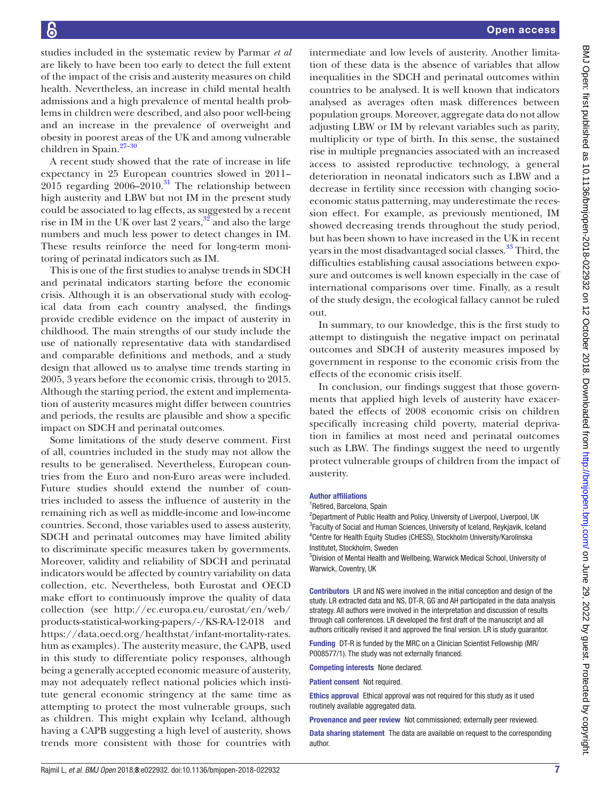A recent study showed that the rate of increase in life expectancy in 25 European countries slowed in 2011–  $2015$  regarding  $2006-2010$ .<sup>31</sup> The relationship between high austerity and LBW but not IM in the present study could be associated to lag effects, as suggested by a recent rise in IM in the UK over last 2 years, $32$  and also the large numbers and much less power to detect changes in IM. These results reinforce the need for long-term monitoring of perinatal indicators such as IM.

This is one of the first studies to analyse trends in SDCH and perinatal indicators starting before the economic crisis. Although it is an observational study with ecological data from each country analysed, the findings provide credible evidence on the impact of austerity in childhood. The main strengths of our study include the use of nationally representative data with standardised and comparable definitions and methods, and a study design that allowed us to analyse time trends starting in 2005, 3 years before the economic crisis, through to 2015. Although the starting period, the extent and implementation of austerity measures might differ between countries and periods, the results are plausible and show a specific impact on SDCH and perinatal outcomes.

Some limitations of the study deserve comment. First of all, countries included in the study may not allow the results to be generalised. Nevertheless, European countries from the Euro and non-Euro areas were included. Future studies should extend the number of countries included to assess the influence of austerity in the remaining rich as well as middle-income and low-income countries. Second, those variables used to assess austerity, SDCH and perinatal outcomes may have limited ability to discriminate specific measures taken by governments. Moreover, validity and reliability of SDCH and perinatal indicators would be affected by country variability on data collection, etc. Nevertheless, both Eurostat and OECD make effort to continuously improve the quality of data collection (see [http://ec.europa.eu/eurostat/en/web/](http://ec.europa.eu/eurostat/en/web/products-statistical-working-papers/-/KS-RA-12-018) [products-statistical-working-papers/-/KS-RA-12-018](http://ec.europa.eu/eurostat/en/web/products-statistical-working-papers/-/KS-RA-12-018) and [https://data.oecd.org/healthstat/infant-mortality-rates.](https://data.oecd.org/healthstat/infant-mortality-rates.htm) [htm](https://data.oecd.org/healthstat/infant-mortality-rates.htm) as examples). The austerity measure, the CAPB, used in this study to differentiate policy responses, although being a generally accepted economic measure of austerity, may not adequately reflect national policies which institute general economic stringency at the same time as attempting to protect the most vulnerable groups, such as children. This might explain why Iceland, although having a CAPB suggesting a high level of austerity, shows trends more consistent with those for countries with

intermediate and low levels of austerity. Another limitation of these data is the absence of variables that allow inequalities in the SDCH and perinatal outcomes within countries to be analysed. It is well known that indicators analysed as averages often mask differences between population groups. Moreover, aggregate data do not allow adjusting LBW or IM by relevant variables such as parity, multiplicity or type of birth. In this sense, the sustained rise in multiple pregnancies associated with an increased access to assisted reproductive technology, a general deterioration in neonatal indicators such as LBW and a decrease in fertility since recession with changing socioeconomic status patterning, may underestimate the recession effect. For example, as previously mentioned, IM showed decreasing trends throughout the study period, but has been shown to have increased in the UK in recent years in the most disadvantaged social classes.<sup>33</sup> Third, the difficulties establishing causal associations between exposure and outcomes is well known especially in the case of international comparisons over time. Finally, as a result of the study design, the ecological fallacy cannot be ruled out.

In summary, to our knowledge, this is the first study to attempt to distinguish the negative impact on perinatal outcomes and SDCH of austerity measures imposed by government in response to the economic crisis from the effects of the economic crisis itself.

In conclusion, our findings suggest that those governments that applied high levels of austerity have exacerbated the effects of 2008 economic crisis on children specifically increasing child poverty, material deprivation in families at most need and perinatal outcomes such as LBW. The findings suggest the need to urgently protect vulnerable groups of children from the impact of austerity.

#### Author affiliations

#### <sup>1</sup>Retired, Barcelona, Spain

<sup>2</sup>Department of Public Health and Policy, University of Liverpool, Liverpool, UK <sup>3</sup> Faculty of Social and Human Sciences, University of Iceland, Reykjavik, Iceland 4 Centre for Health Equity Studies (CHESS), Stockholm University/Karolinska Institutet, Stockholm, Sweden

5 Division of Mental Health and Wellbeing, Warwick Medical School, University of Warwick, Coventry, UK

Contributors LR and NS were involved in the initial conception and design of the study. LR extracted data and NS, DT-R, GG and AH participated in the data analysis strategy. All authors were involved in the interpretation and discussion of results through call conferences. LR developed the first draft of the manuscript and all authors critically revised it and approved the final version. LR is study guarantor.

Funding DT-R is funded by the MRC on a Clinician Scientist Fellowship (MR/ P008577/1). The study was not externally financed.

Competing interests None declared.

Patient consent Not required.

Ethics approval Ethical approval was not required for this study as it used routinely available aggregated data.

Provenance and peer review Not commissioned; externally peer reviewed.

Data sharing statement The data are available on request to the corresponding author.